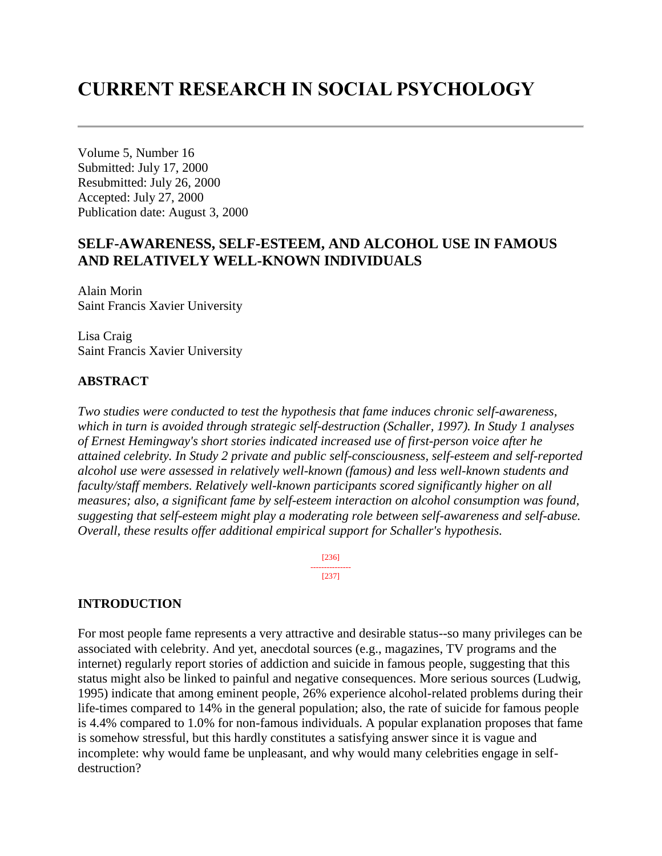# **CURRENT RESEARCH IN SOCIAL PSYCHOLOGY**

Volume 5, Number 16 Submitted: July 17, 2000 Resubmitted: July 26, 2000 Accepted: July 27, 2000 Publication date: August 3, 2000

## **SELF-AWARENESS, SELF-ESTEEM, AND ALCOHOL USE IN FAMOUS AND RELATIVELY WELL-KNOWN INDIVIDUALS**

Alain Morin Saint Francis Xavier University

Lisa Craig Saint Francis Xavier University

### **ABSTRACT**

*Two studies were conducted to test the hypothesis that fame induces chronic self-awareness, which in turn is avoided through strategic self-destruction (Schaller, 1997). In Study 1 analyses of Ernest Hemingway's short stories indicated increased use of first-person voice after he attained celebrity. In Study 2 private and public self-consciousness, self-esteem and self-reported alcohol use were assessed in relatively well-known (famous) and less well-known students and faculty/staff members. Relatively well-known participants scored significantly higher on all measures; also, a significant fame by self-esteem interaction on alcohol consumption was found, suggesting that self-esteem might play a moderating role between self-awareness and self-abuse. Overall, these results offer additional empirical support for Schaller's hypothesis.* 

> [236] --------------- [237]

#### **INTRODUCTION**

For most people fame represents a very attractive and desirable status--so many privileges can be associated with celebrity. And yet, anecdotal sources (e.g., magazines, TV programs and the internet) regularly report stories of addiction and suicide in famous people, suggesting that this status might also be linked to painful and negative consequences. More serious sources (Ludwig, 1995) indicate that among eminent people, 26% experience alcohol-related problems during their life-times compared to 14% in the general population; also, the rate of suicide for famous people is 4.4% compared to 1.0% for non-famous individuals. A popular explanation proposes that fame is somehow stressful, but this hardly constitutes a satisfying answer since it is vague and incomplete: why would fame be unpleasant, and why would many celebrities engage in selfdestruction?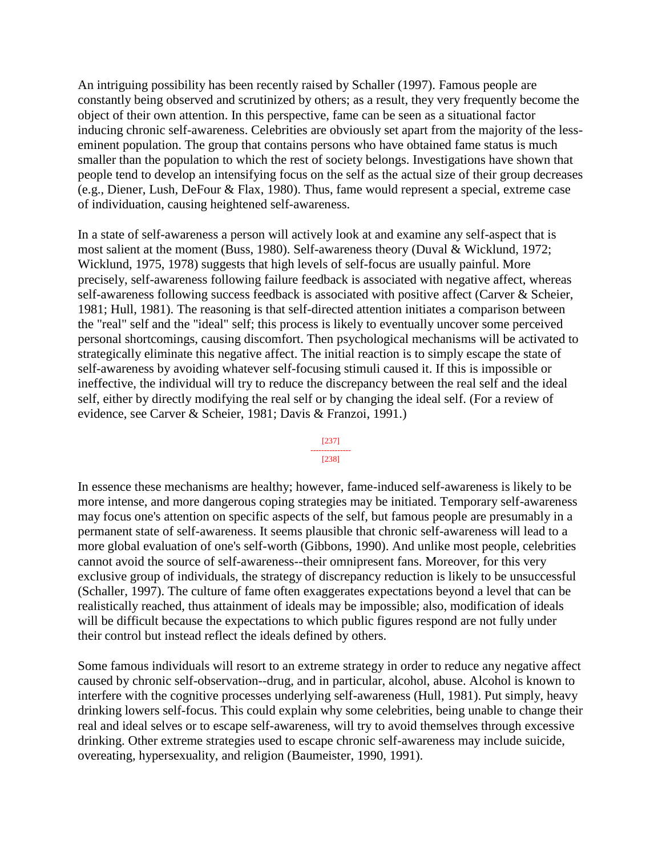An intriguing possibility has been recently raised by Schaller (1997). Famous people are constantly being observed and scrutinized by others; as a result, they very frequently become the object of their own attention. In this perspective, fame can be seen as a situational factor inducing chronic self-awareness. Celebrities are obviously set apart from the majority of the lesseminent population. The group that contains persons who have obtained fame status is much smaller than the population to which the rest of society belongs. Investigations have shown that people tend to develop an intensifying focus on the self as the actual size of their group decreases (e.g., Diener, Lush, DeFour & Flax, 1980). Thus, fame would represent a special, extreme case of individuation, causing heightened self-awareness.

In a state of self-awareness a person will actively look at and examine any self-aspect that is most salient at the moment (Buss, 1980). Self-awareness theory (Duval & Wicklund, 1972; Wicklund, 1975, 1978) suggests that high levels of self-focus are usually painful. More precisely, self-awareness following failure feedback is associated with negative affect, whereas self-awareness following success feedback is associated with positive affect (Carver & Scheier, 1981; Hull, 1981). The reasoning is that self-directed attention initiates a comparison between the "real" self and the "ideal" self; this process is likely to eventually uncover some perceived personal shortcomings, causing discomfort. Then psychological mechanisms will be activated to strategically eliminate this negative affect. The initial reaction is to simply escape the state of self-awareness by avoiding whatever self-focusing stimuli caused it. If this is impossible or ineffective, the individual will try to reduce the discrepancy between the real self and the ideal self, either by directly modifying the real self or by changing the ideal self. (For a review of evidence, see Carver & Scheier, 1981; Davis & Franzoi, 1991.)

#### [237] ---------------

#### [238]

In essence these mechanisms are healthy; however, fame-induced self-awareness is likely to be more intense, and more dangerous coping strategies may be initiated. Temporary self-awareness may focus one's attention on specific aspects of the self, but famous people are presumably in a permanent state of self-awareness. It seems plausible that chronic self-awareness will lead to a more global evaluation of one's self-worth (Gibbons, 1990). And unlike most people, celebrities cannot avoid the source of self-awareness--their omnipresent fans. Moreover, for this very exclusive group of individuals, the strategy of discrepancy reduction is likely to be unsuccessful (Schaller, 1997). The culture of fame often exaggerates expectations beyond a level that can be realistically reached, thus attainment of ideals may be impossible; also, modification of ideals will be difficult because the expectations to which public figures respond are not fully under their control but instead reflect the ideals defined by others.

Some famous individuals will resort to an extreme strategy in order to reduce any negative affect caused by chronic self-observation--drug, and in particular, alcohol, abuse. Alcohol is known to interfere with the cognitive processes underlying self-awareness (Hull, 1981). Put simply, heavy drinking lowers self-focus. This could explain why some celebrities, being unable to change their real and ideal selves or to escape self-awareness, will try to avoid themselves through excessive drinking. Other extreme strategies used to escape chronic self-awareness may include suicide, overeating, hypersexuality, and religion (Baumeister, 1990, 1991).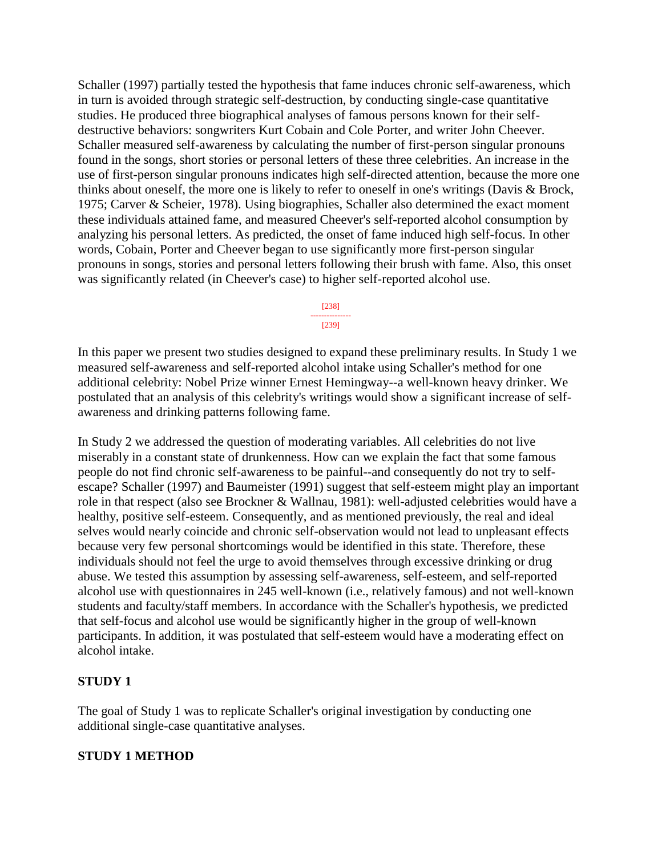Schaller (1997) partially tested the hypothesis that fame induces chronic self-awareness, which in turn is avoided through strategic self-destruction, by conducting single-case quantitative studies. He produced three biographical analyses of famous persons known for their selfdestructive behaviors: songwriters Kurt Cobain and Cole Porter, and writer John Cheever. Schaller measured self-awareness by calculating the number of first-person singular pronouns found in the songs, short stories or personal letters of these three celebrities. An increase in the use of first-person singular pronouns indicates high self-directed attention, because the more one thinks about oneself, the more one is likely to refer to oneself in one's writings (Davis & Brock, 1975; Carver & Scheier, 1978). Using biographies, Schaller also determined the exact moment these individuals attained fame, and measured Cheever's self-reported alcohol consumption by analyzing his personal letters. As predicted, the onset of fame induced high self-focus. In other words, Cobain, Porter and Cheever began to use significantly more first-person singular pronouns in songs, stories and personal letters following their brush with fame. Also, this onset was significantly related (in Cheever's case) to higher self-reported alcohol use.

> [238] --------------- [239]

In this paper we present two studies designed to expand these preliminary results. In Study 1 we measured self-awareness and self-reported alcohol intake using Schaller's method for one additional celebrity: Nobel Prize winner Ernest Hemingway--a well-known heavy drinker. We postulated that an analysis of this celebrity's writings would show a significant increase of selfawareness and drinking patterns following fame.

In Study 2 we addressed the question of moderating variables. All celebrities do not live miserably in a constant state of drunkenness. How can we explain the fact that some famous people do not find chronic self-awareness to be painful--and consequently do not try to selfescape? Schaller (1997) and Baumeister (1991) suggest that self-esteem might play an important role in that respect (also see Brockner & Wallnau, 1981): well-adjusted celebrities would have a healthy, positive self-esteem. Consequently, and as mentioned previously, the real and ideal selves would nearly coincide and chronic self-observation would not lead to unpleasant effects because very few personal shortcomings would be identified in this state. Therefore, these individuals should not feel the urge to avoid themselves through excessive drinking or drug abuse. We tested this assumption by assessing self-awareness, self-esteem, and self-reported alcohol use with questionnaires in 245 well-known (i.e., relatively famous) and not well-known students and faculty/staff members. In accordance with the Schaller's hypothesis, we predicted that self-focus and alcohol use would be significantly higher in the group of well-known participants. In addition, it was postulated that self-esteem would have a moderating effect on alcohol intake.

### **STUDY 1**

The goal of Study 1 was to replicate Schaller's original investigation by conducting one additional single-case quantitative analyses.

### **STUDY 1 METHOD**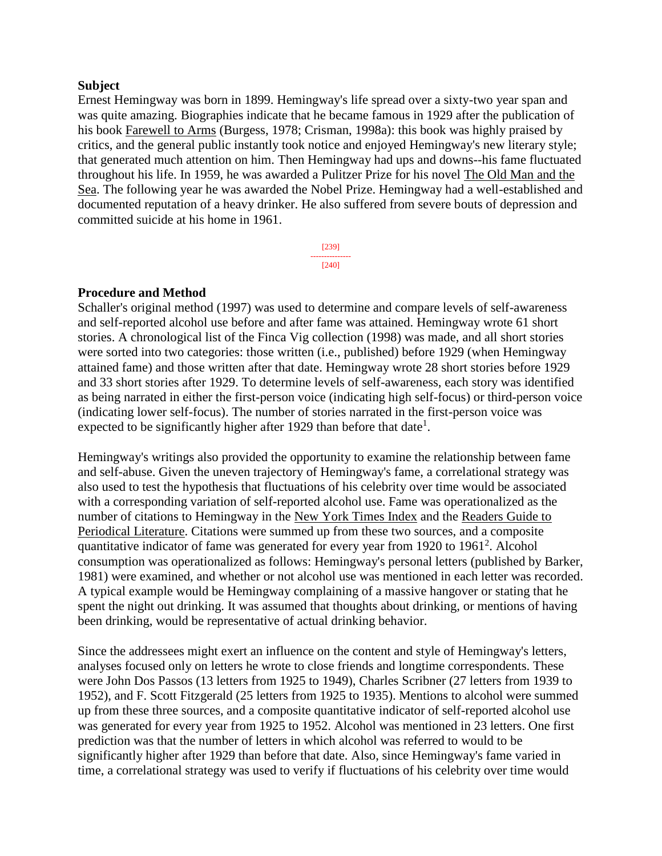#### **Subject**

Ernest Hemingway was born in 1899. Hemingway's life spread over a sixty-two year span and was quite amazing. Biographies indicate that he became famous in 1929 after the publication of his book Farewell to Arms (Burgess, 1978; Crisman, 1998a): this book was highly praised by critics, and the general public instantly took notice and enjoyed Hemingway's new literary style; that generated much attention on him. Then Hemingway had ups and downs--his fame fluctuated throughout his life. In 1959, he was awarded a Pulitzer Prize for his novel The Old Man and the Sea. The following year he was awarded the Nobel Prize. Hemingway had a well-established and documented reputation of a heavy drinker. He also suffered from severe bouts of depression and committed suicide at his home in 1961.

> [239] --------------- [240]

#### **Procedure and Method**

Schaller's original method (1997) was used to determine and compare levels of self-awareness and self-reported alcohol use before and after fame was attained. Hemingway wrote 61 short stories. A chronological list of the Finca Vig collection (1998) was made, and all short stories were sorted into two categories: those written (i.e., published) before 1929 (when Hemingway attained fame) and those written after that date. Hemingway wrote 28 short stories before 1929 and 33 short stories after 1929. To determine levels of self-awareness, each story was identified as being narrated in either the first-person voice (indicating high self-focus) or third-person voice (indicating lower self-focus). The number of stories narrated in the first-person voice was expected to be significantly higher after 1929 than before that date<sup>1</sup>.

Hemingway's writings also provided the opportunity to examine the relationship between fame and self-abuse. Given the uneven trajectory of Hemingway's fame, a correlational strategy was also used to test the hypothesis that fluctuations of his celebrity over time would be associated with a corresponding variation of self-reported alcohol use. Fame was operationalized as the number of citations to Hemingway in the New York Times Index and the Readers Guide to Periodical Literature. Citations were summed up from these two sources, and a composite quantitative indicator of fame was generated for every year from 1920 to  $1961^2$ . Alcohol consumption was operationalized as follows: Hemingway's personal letters (published by Barker, 1981) were examined, and whether or not alcohol use was mentioned in each letter was recorded. A typical example would be Hemingway complaining of a massive hangover or stating that he spent the night out drinking. It was assumed that thoughts about drinking, or mentions of having been drinking, would be representative of actual drinking behavior.

Since the addressees might exert an influence on the content and style of Hemingway's letters, analyses focused only on letters he wrote to close friends and longtime correspondents. These were John Dos Passos (13 letters from 1925 to 1949), Charles Scribner (27 letters from 1939 to 1952), and F. Scott Fitzgerald (25 letters from 1925 to 1935). Mentions to alcohol were summed up from these three sources, and a composite quantitative indicator of self-reported alcohol use was generated for every year from 1925 to 1952. Alcohol was mentioned in 23 letters. One first prediction was that the number of letters in which alcohol was referred to would to be significantly higher after 1929 than before that date. Also, since Hemingway's fame varied in time, a correlational strategy was used to verify if fluctuations of his celebrity over time would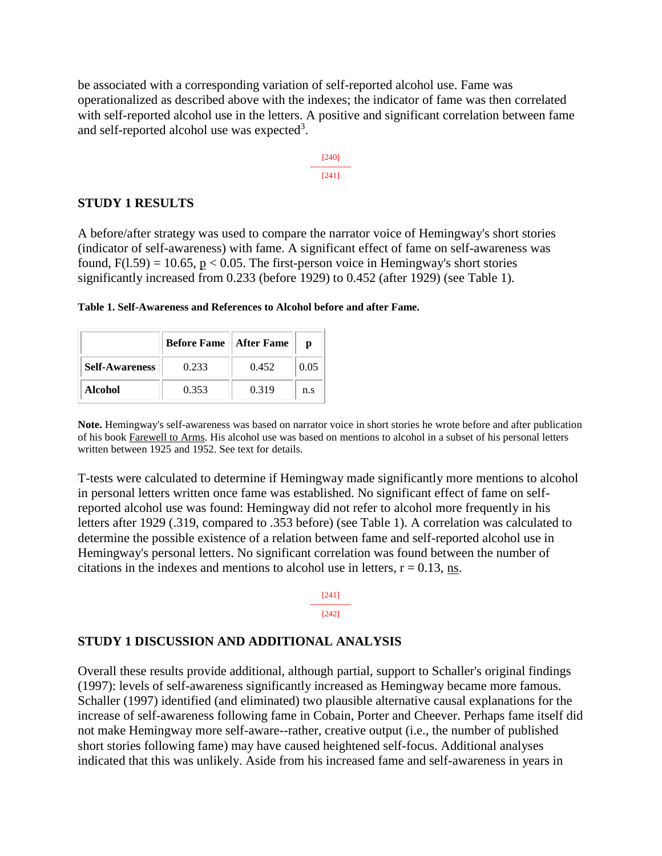be associated with a corresponding variation of self-reported alcohol use. Fame was operationalized as described above with the indexes; the indicator of fame was then correlated with self-reported alcohol use in the letters. A positive and significant correlation between fame and self-reported alcohol use was expected<sup>3</sup>.

$$
\begin{array}{c}\n[240] \\
[-240] \\
[241]\n\end{array}
$$

#### **STUDY 1 RESULTS**

A before/after strategy was used to compare the narrator voice of Hemingway's short stories (indicator of self-awareness) with fame. A significant effect of fame on self-awareness was found,  $F(1.59) = 10.65$ ,  $p < 0.05$ . The first-person voice in Hemingway's short stories significantly increased from 0.233 (before 1929) to 0.452 (after 1929) (see Table 1).

|                       | <b>Before Fame</b>    After Fame |       | D    |
|-----------------------|----------------------------------|-------|------|
| <b>Self-Awareness</b> | 0.233                            | 0.452 | 0.05 |
| Alcohol               | 0.353                            | 0.319 | n.s  |

**Table 1. Self-Awareness and References to Alcohol before and after Fame.**

**Note.** Hemingway's self-awareness was based on narrator voice in short stories he wrote before and after publication of his book Farewell to Arms. His alcohol use was based on mentions to alcohol in a subset of his personal letters written between 1925 and 1952. See text for details.

T-tests were calculated to determine if Hemingway made significantly more mentions to alcohol in personal letters written once fame was established. No significant effect of fame on selfreported alcohol use was found: Hemingway did not refer to alcohol more frequently in his letters after 1929 (.319, compared to .353 before) (see Table 1). A correlation was calculated to determine the possible existence of a relation between fame and self-reported alcohol use in Hemingway's personal letters. No significant correlation was found between the number of citations in the indexes and mentions to alcohol use in letters,  $r = 0.13$ , ns.



#### **STUDY 1 DISCUSSION AND ADDITIONAL ANALYSIS**

Overall these results provide additional, although partial, support to Schaller's original findings (1997): levels of self-awareness significantly increased as Hemingway became more famous. Schaller (1997) identified (and eliminated) two plausible alternative causal explanations for the increase of self-awareness following fame in Cobain, Porter and Cheever. Perhaps fame itself did not make Hemingway more self-aware--rather, creative output (i.e., the number of published short stories following fame) may have caused heightened self-focus. Additional analyses indicated that this was unlikely. Aside from his increased fame and self-awareness in years in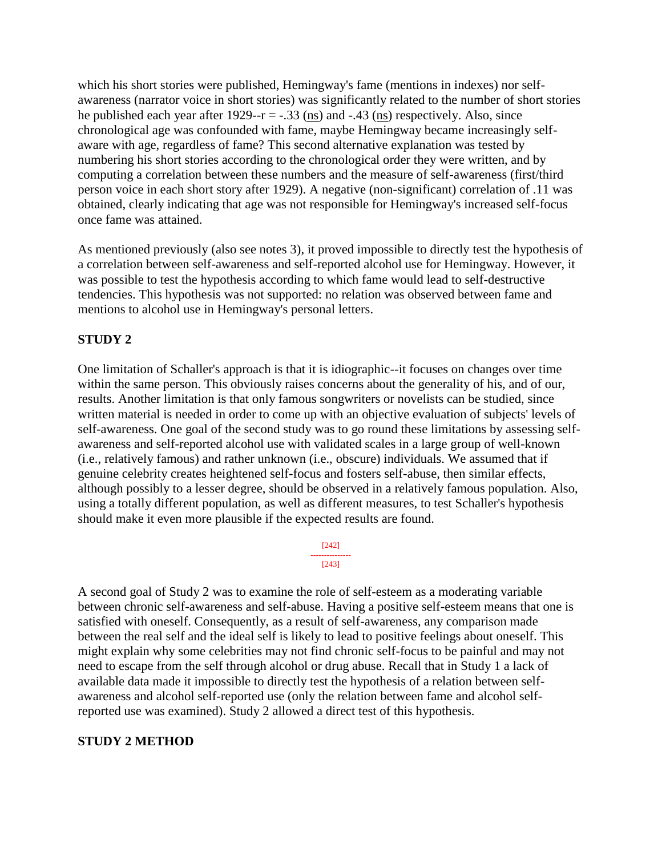which his short stories were published, Hemingway's fame (mentions in indexes) nor selfawareness (narrator voice in short stories) was significantly related to the number of short stories he published each year after  $1929-r = -.33$  (ns) and  $-.43$  (ns) respectively. Also, since chronological age was confounded with fame, maybe Hemingway became increasingly selfaware with age, regardless of fame? This second alternative explanation was tested by numbering his short stories according to the chronological order they were written, and by computing a correlation between these numbers and the measure of self-awareness (first/third person voice in each short story after 1929). A negative (non-significant) correlation of .11 was obtained, clearly indicating that age was not responsible for Hemingway's increased self-focus once fame was attained.

As mentioned previously (also see notes 3), it proved impossible to directly test the hypothesis of a correlation between self-awareness and self-reported alcohol use for Hemingway. However, it was possible to test the hypothesis according to which fame would lead to self-destructive tendencies. This hypothesis was not supported: no relation was observed between fame and mentions to alcohol use in Hemingway's personal letters.

## **STUDY 2**

One limitation of Schaller's approach is that it is idiographic--it focuses on changes over time within the same person. This obviously raises concerns about the generality of his, and of our, results. Another limitation is that only famous songwriters or novelists can be studied, since written material is needed in order to come up with an objective evaluation of subjects' levels of self-awareness. One goal of the second study was to go round these limitations by assessing selfawareness and self-reported alcohol use with validated scales in a large group of well-known (i.e., relatively famous) and rather unknown (i.e., obscure) individuals. We assumed that if genuine celebrity creates heightened self-focus and fosters self-abuse, then similar effects, although possibly to a lesser degree, should be observed in a relatively famous population. Also, using a totally different population, as well as different measures, to test Schaller's hypothesis should make it even more plausible if the expected results are found.

> [242] --------------- [243]

A second goal of Study 2 was to examine the role of self-esteem as a moderating variable between chronic self-awareness and self-abuse. Having a positive self-esteem means that one is satisfied with oneself. Consequently, as a result of self-awareness, any comparison made between the real self and the ideal self is likely to lead to positive feelings about oneself. This might explain why some celebrities may not find chronic self-focus to be painful and may not need to escape from the self through alcohol or drug abuse. Recall that in Study 1 a lack of available data made it impossible to directly test the hypothesis of a relation between selfawareness and alcohol self-reported use (only the relation between fame and alcohol selfreported use was examined). Study 2 allowed a direct test of this hypothesis.

## **STUDY 2 METHOD**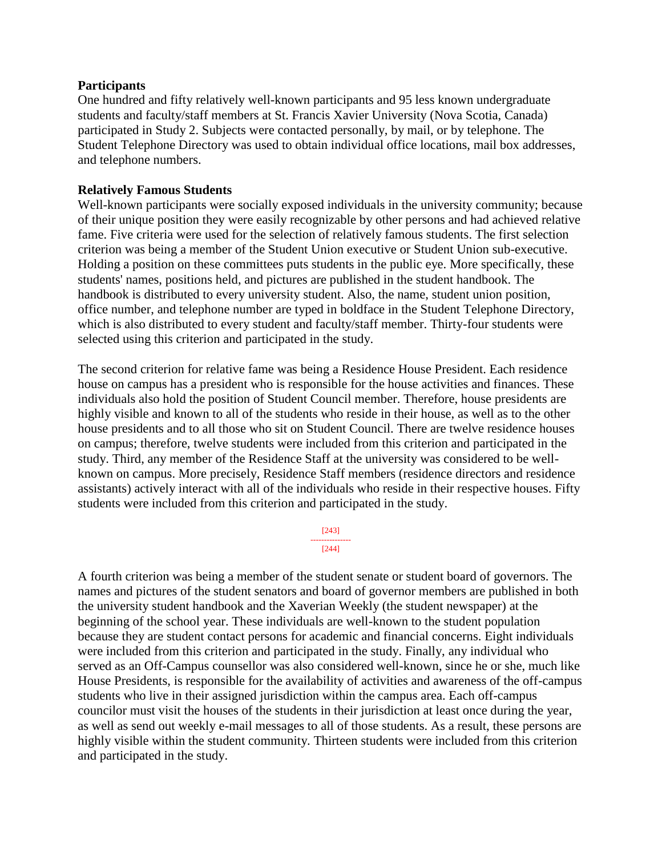#### **Participants**

One hundred and fifty relatively well-known participants and 95 less known undergraduate students and faculty/staff members at St. Francis Xavier University (Nova Scotia, Canada) participated in Study 2. Subjects were contacted personally, by mail, or by telephone. The Student Telephone Directory was used to obtain individual office locations, mail box addresses, and telephone numbers.

#### **Relatively Famous Students**

Well-known participants were socially exposed individuals in the university community; because of their unique position they were easily recognizable by other persons and had achieved relative fame. Five criteria were used for the selection of relatively famous students. The first selection criterion was being a member of the Student Union executive or Student Union sub-executive. Holding a position on these committees puts students in the public eye. More specifically, these students' names, positions held, and pictures are published in the student handbook. The handbook is distributed to every university student. Also, the name, student union position, office number, and telephone number are typed in boldface in the Student Telephone Directory, which is also distributed to every student and faculty/staff member. Thirty-four students were selected using this criterion and participated in the study.

The second criterion for relative fame was being a Residence House President. Each residence house on campus has a president who is responsible for the house activities and finances. These individuals also hold the position of Student Council member. Therefore, house presidents are highly visible and known to all of the students who reside in their house, as well as to the other house presidents and to all those who sit on Student Council. There are twelve residence houses on campus; therefore, twelve students were included from this criterion and participated in the study. Third, any member of the Residence Staff at the university was considered to be wellknown on campus. More precisely, Residence Staff members (residence directors and residence assistants) actively interact with all of the individuals who reside in their respective houses. Fifty students were included from this criterion and participated in the study.

> [243] --------------- [244]

A fourth criterion was being a member of the student senate or student board of governors. The names and pictures of the student senators and board of governor members are published in both the university student handbook and the Xaverian Weekly (the student newspaper) at the beginning of the school year. These individuals are well-known to the student population because they are student contact persons for academic and financial concerns. Eight individuals were included from this criterion and participated in the study. Finally, any individual who served as an Off-Campus counsellor was also considered well-known, since he or she, much like House Presidents, is responsible for the availability of activities and awareness of the off-campus students who live in their assigned jurisdiction within the campus area. Each off-campus councilor must visit the houses of the students in their jurisdiction at least once during the year, as well as send out weekly e-mail messages to all of those students. As a result, these persons are highly visible within the student community. Thirteen students were included from this criterion and participated in the study.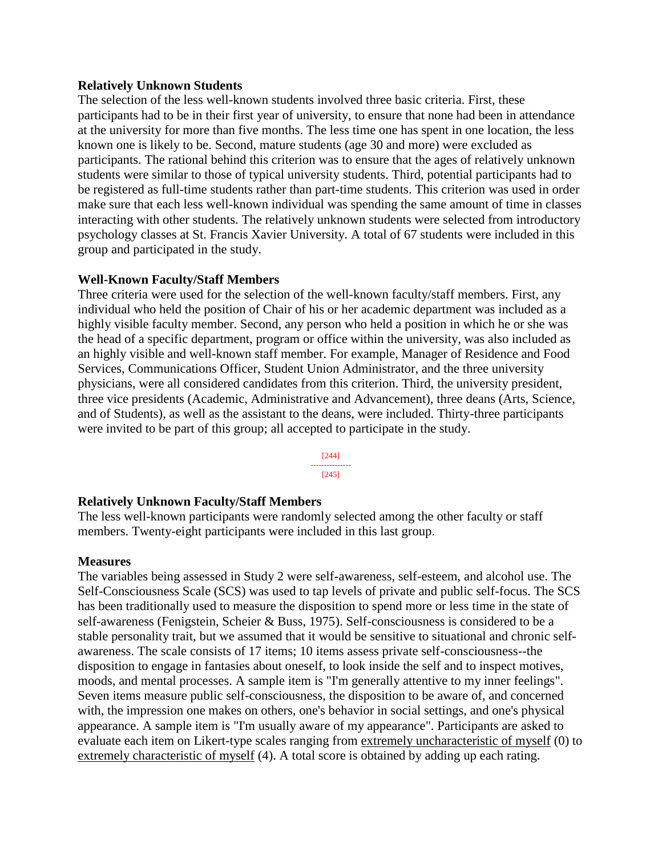#### **Relatively Unknown Students**

The selection of the less well-known students involved three basic criteria. First, these participants had to be in their first year of university, to ensure that none had been in attendance at the university for more than five months. The less time one has spent in one location, the less known one is likely to be. Second, mature students (age 30 and more) were excluded as participants. The rational behind this criterion was to ensure that the ages of relatively unknown students were similar to those of typical university students. Third, potential participants had to be registered as full-time students rather than part-time students. This criterion was used in order make sure that each less well-known individual was spending the same amount of time in classes interacting with other students. The relatively unknown students were selected from introductory psychology classes at St. Francis Xavier University. A total of 67 students were included in this group and participated in the study.

### **Well-Known Faculty/Staff Members**

Three criteria were used for the selection of the well-known faculty/staff members. First, any individual who held the position of Chair of his or her academic department was included as a highly visible faculty member. Second, any person who held a position in which he or she was the head of a specific department, program or office within the university, was also included as an highly visible and well-known staff member. For example, Manager of Residence and Food Services, Communications Officer, Student Union Administrator, and the three university physicians, were all considered candidates from this criterion. Third, the university president, three vice presidents (Academic, Administrative and Advancement), three deans (Arts, Science, and of Students), as well as the assistant to the deans, were included. Thirty-three participants were invited to be part of this group; all accepted to participate in the study.

> [244] --------------- [245]

#### **Relatively Unknown Faculty/Staff Members**

The less well-known participants were randomly selected among the other faculty or staff members. Twenty-eight participants were included in this last group.

#### **Measures**

The variables being assessed in Study 2 were self-awareness, self-esteem, and alcohol use. The Self-Consciousness Scale (SCS) was used to tap levels of private and public self-focus. The SCS has been traditionally used to measure the disposition to spend more or less time in the state of self-awareness (Fenigstein, Scheier & Buss, 1975). Self-consciousness is considered to be a stable personality trait, but we assumed that it would be sensitive to situational and chronic selfawareness. The scale consists of 17 items; 10 items assess private self-consciousness--the disposition to engage in fantasies about oneself, to look inside the self and to inspect motives, moods, and mental processes. A sample item is "I'm generally attentive to my inner feelings". Seven items measure public self-consciousness, the disposition to be aware of, and concerned with, the impression one makes on others, one's behavior in social settings, and one's physical appearance. A sample item is "I'm usually aware of my appearance". Participants are asked to evaluate each item on Likert-type scales ranging from extremely uncharacteristic of myself (0) to extremely characteristic of myself (4). A total score is obtained by adding up each rating.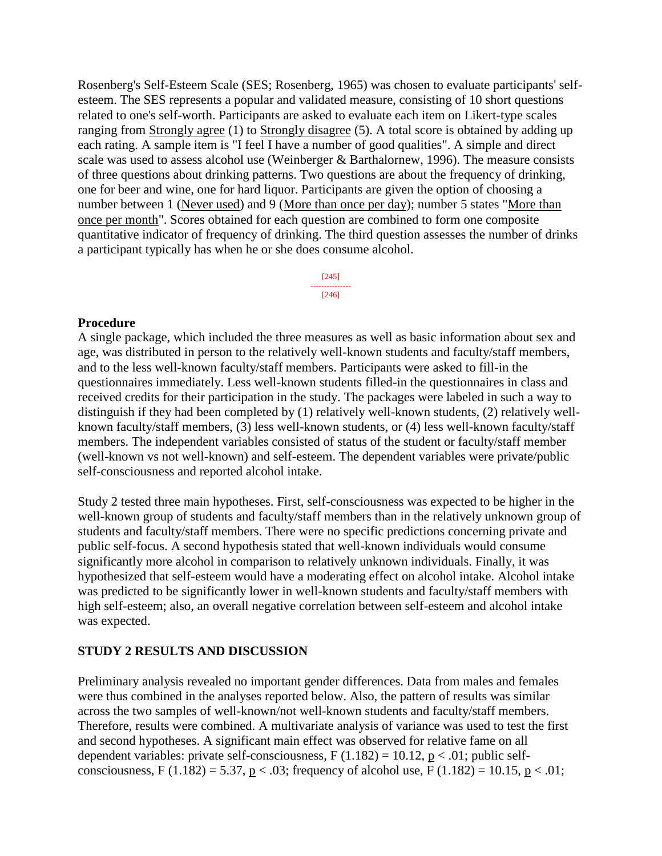Rosenberg's Self-Esteem Scale (SES; Rosenberg, 1965) was chosen to evaluate participants' selfesteem. The SES represents a popular and validated measure, consisting of 10 short questions related to one's self-worth. Participants are asked to evaluate each item on Likert-type scales ranging from Strongly agree (1) to Strongly disagree (5). A total score is obtained by adding up each rating. A sample item is "I feel I have a number of good qualities". A simple and direct scale was used to assess alcohol use (Weinberger & Barthalornew, 1996). The measure consists of three questions about drinking patterns. Two questions are about the frequency of drinking, one for beer and wine, one for hard liquor. Participants are given the option of choosing a number between 1 (Never used) and 9 (More than once per day); number 5 states "More than once per month". Scores obtained for each question are combined to form one composite quantitative indicator of frequency of drinking. The third question assesses the number of drinks a participant typically has when he or she does consume alcohol.

> [245] --------------- [246]

#### **Procedure**

A single package, which included the three measures as well as basic information about sex and age, was distributed in person to the relatively well-known students and faculty/staff members, and to the less well-known faculty/staff members. Participants were asked to fill-in the questionnaires immediately. Less well-known students filled-in the questionnaires in class and received credits for their participation in the study. The packages were labeled in such a way to distinguish if they had been completed by (1) relatively well-known students, (2) relatively wellknown faculty/staff members, (3) less well-known students, or (4) less well-known faculty/staff members. The independent variables consisted of status of the student or faculty/staff member (well-known vs not well-known) and self-esteem. The dependent variables were private/public self-consciousness and reported alcohol intake.

Study 2 tested three main hypotheses. First, self-consciousness was expected to be higher in the well-known group of students and faculty/staff members than in the relatively unknown group of students and faculty/staff members. There were no specific predictions concerning private and public self-focus. A second hypothesis stated that well-known individuals would consume significantly more alcohol in comparison to relatively unknown individuals. Finally, it was hypothesized that self-esteem would have a moderating effect on alcohol intake. Alcohol intake was predicted to be significantly lower in well-known students and faculty/staff members with high self-esteem; also, an overall negative correlation between self-esteem and alcohol intake was expected.

#### **STUDY 2 RESULTS AND DISCUSSION**

Preliminary analysis revealed no important gender differences. Data from males and females were thus combined in the analyses reported below. Also, the pattern of results was similar across the two samples of well-known/not well-known students and faculty/staff members. Therefore, results were combined. A multivariate analysis of variance was used to test the first and second hypotheses. A significant main effect was observed for relative fame on all dependent variables: private self-consciousness,  $F(1.182) = 10.12$ ,  $p < .01$ ; public selfconsciousness, F (1.182) = 5.37,  $p < .03$ ; frequency of alcohol use, F (1.182) = 10.15,  $p < .01$ ;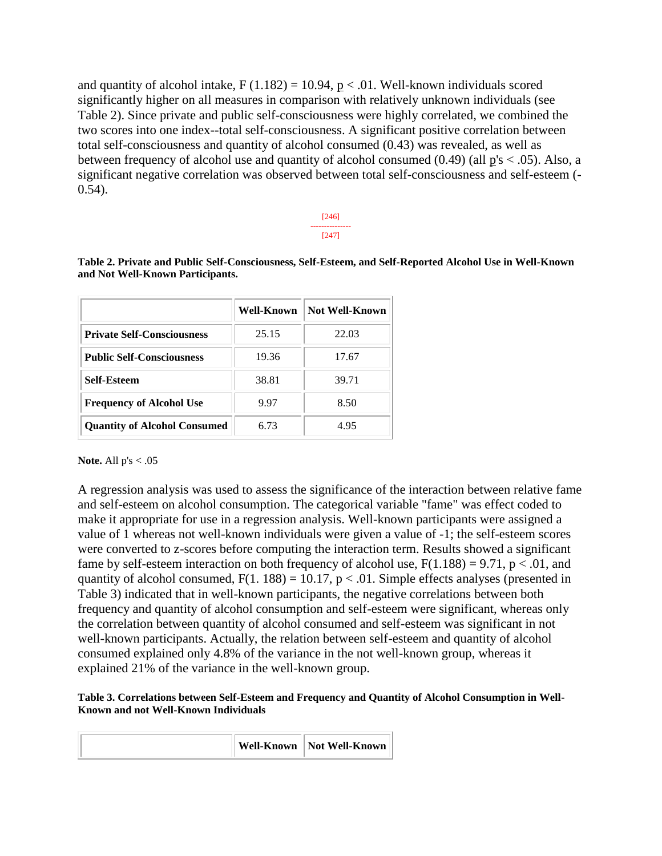and quantity of alcohol intake,  $F(1.182) = 10.94$ ,  $p < .01$ . Well-known individuals scored significantly higher on all measures in comparison with relatively unknown individuals (see Table 2). Since private and public self-consciousness were highly correlated, we combined the two scores into one index--total self-consciousness. A significant positive correlation between total self-consciousness and quantity of alcohol consumed (0.43) was revealed, as well as between frequency of alcohol use and quantity of alcohol consumed  $(0.49)$  (all  $p's < .05$ ). Also, a significant negative correlation was observed between total self-consciousness and self-esteem (- 0.54).

> [246] --------------- [247]

**Table 2. Private and Public Self-Consciousness, Self-Esteem, and Self-Reported Alcohol Use in Well-Known and Not Well-Known Participants.**

|                                     | Well-Known | <b>Not Well-Known</b> |
|-------------------------------------|------------|-----------------------|
| <b>Private Self-Consciousness</b>   | 25.15      | 22.03                 |
| <b>Public Self-Consciousness</b>    | 19.36      | 17.67                 |
| <b>Self-Esteem</b>                  | 38.81      | 39.71                 |
| <b>Frequency of Alcohol Use</b>     | 9.97       | 8.50                  |
| <b>Quantity of Alcohol Consumed</b> | 6.73       | 4.95                  |

#### **Note.** All p's < .05

A regression analysis was used to assess the significance of the interaction between relative fame and self-esteem on alcohol consumption. The categorical variable "fame" was effect coded to make it appropriate for use in a regression analysis. Well-known participants were assigned a value of 1 whereas not well-known individuals were given a value of -1; the self-esteem scores were converted to z-scores before computing the interaction term. Results showed a significant fame by self-esteem interaction on both frequency of alcohol use,  $F(1.188) = 9.71$ ,  $p < .01$ , and quantity of alcohol consumed,  $F(1. 188) = 10.17$ ,  $p < .01$ . Simple effects analyses (presented in Table 3) indicated that in well-known participants, the negative correlations between both frequency and quantity of alcohol consumption and self-esteem were significant, whereas only the correlation between quantity of alcohol consumed and self-esteem was significant in not well-known participants. Actually, the relation between self-esteem and quantity of alcohol consumed explained only 4.8% of the variance in the not well-known group, whereas it explained 21% of the variance in the well-known group.

#### **Table 3. Correlations between Self-Esteem and Frequency and Quantity of Alcohol Consumption in Well-Known and not Well-Known Individuals**

|  | Well-Known | Not Well-Known |
|--|------------|----------------|
|--|------------|----------------|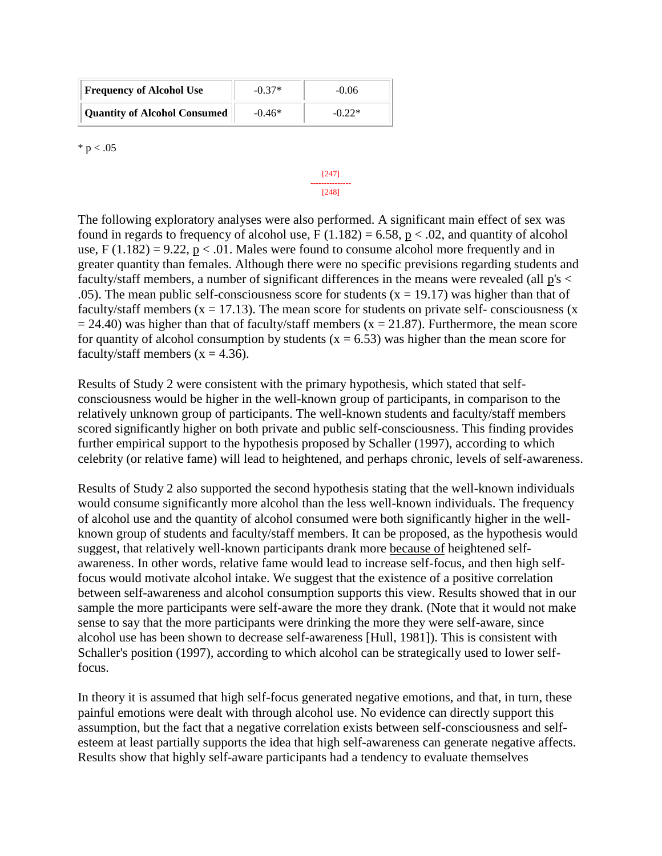| <b>Frequency of Alcohol Use</b>     | $-0.37*$ | $-0.06$  |
|-------------------------------------|----------|----------|
| <b>Quantity of Alcohol Consumed</b> | $-0.46*$ | $-0.22*$ |

 $* p < .05$ 

[248] The following exploratory analyses were also performed. A significant main effect of sex was found in regards to frequency of alcohol use,  $F(1.182) = 6.58$ ,  $p < .02$ , and quantity of alcohol use,  $F(1.182) = 9.22$ ,  $p < .01$ . Males were found to consume alcohol more frequently and in greater quantity than females. Although there were no specific previsions regarding students and faculty/staff members, a number of significant differences in the means were revealed (all p's < .05). The mean public self-consciousness score for students  $(x = 19.17)$  was higher than that of faculty/staff members ( $x = 17.13$ ). The mean score for students on private self-consciousness ( $x = 17.13$ ).  $= 24.40$ ) was higher than that of faculty/staff members (x = 21.87). Furthermore, the mean score for quantity of alcohol consumption by students  $(x = 6.53)$  was higher than the mean score for faculty/staff members  $(x = 4.36)$ .

[247] ---------------

Results of Study 2 were consistent with the primary hypothesis, which stated that selfconsciousness would be higher in the well-known group of participants, in comparison to the relatively unknown group of participants. The well-known students and faculty/staff members scored significantly higher on both private and public self-consciousness. This finding provides further empirical support to the hypothesis proposed by Schaller (1997), according to which celebrity (or relative fame) will lead to heightened, and perhaps chronic, levels of self-awareness.

Results of Study 2 also supported the second hypothesis stating that the well-known individuals would consume significantly more alcohol than the less well-known individuals. The frequency of alcohol use and the quantity of alcohol consumed were both significantly higher in the wellknown group of students and faculty/staff members. It can be proposed, as the hypothesis would suggest, that relatively well-known participants drank more because of heightened selfawareness. In other words, relative fame would lead to increase self-focus, and then high selffocus would motivate alcohol intake. We suggest that the existence of a positive correlation between self-awareness and alcohol consumption supports this view. Results showed that in our sample the more participants were self-aware the more they drank. (Note that it would not make sense to say that the more participants were drinking the more they were self-aware, since alcohol use has been shown to decrease self-awareness [Hull, 1981]). This is consistent with Schaller's position (1997), according to which alcohol can be strategically used to lower selffocus.

In theory it is assumed that high self-focus generated negative emotions, and that, in turn, these painful emotions were dealt with through alcohol use. No evidence can directly support this assumption, but the fact that a negative correlation exists between self-consciousness and selfesteem at least partially supports the idea that high self-awareness can generate negative affects. Results show that highly self-aware participants had a tendency to evaluate themselves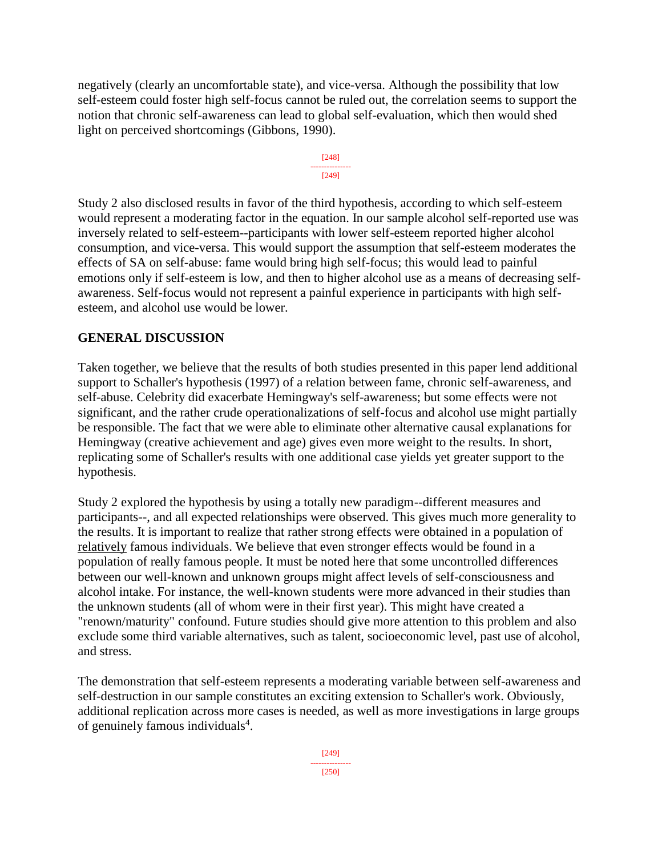negatively (clearly an uncomfortable state), and vice-versa. Although the possibility that low self-esteem could foster high self-focus cannot be ruled out, the correlation seems to support the notion that chronic self-awareness can lead to global self-evaluation, which then would shed light on perceived shortcomings (Gibbons, 1990).

[248] --------------- [249]

Study 2 also disclosed results in favor of the third hypothesis, according to which self-esteem would represent a moderating factor in the equation. In our sample alcohol self-reported use was inversely related to self-esteem--participants with lower self-esteem reported higher alcohol consumption, and vice-versa. This would support the assumption that self-esteem moderates the effects of SA on self-abuse: fame would bring high self-focus; this would lead to painful emotions only if self-esteem is low, and then to higher alcohol use as a means of decreasing selfawareness. Self-focus would not represent a painful experience in participants with high selfesteem, and alcohol use would be lower.

## **GENERAL DISCUSSION**

Taken together, we believe that the results of both studies presented in this paper lend additional support to Schaller's hypothesis (1997) of a relation between fame, chronic self-awareness, and self-abuse. Celebrity did exacerbate Hemingway's self-awareness; but some effects were not significant, and the rather crude operationalizations of self-focus and alcohol use might partially be responsible. The fact that we were able to eliminate other alternative causal explanations for Hemingway (creative achievement and age) gives even more weight to the results. In short, replicating some of Schaller's results with one additional case yields yet greater support to the hypothesis.

Study 2 explored the hypothesis by using a totally new paradigm--different measures and participants--, and all expected relationships were observed. This gives much more generality to the results. It is important to realize that rather strong effects were obtained in a population of relatively famous individuals. We believe that even stronger effects would be found in a population of really famous people. It must be noted here that some uncontrolled differences between our well-known and unknown groups might affect levels of self-consciousness and alcohol intake. For instance, the well-known students were more advanced in their studies than the unknown students (all of whom were in their first year). This might have created a "renown/maturity" confound. Future studies should give more attention to this problem and also exclude some third variable alternatives, such as talent, socioeconomic level, past use of alcohol, and stress.

The demonstration that self-esteem represents a moderating variable between self-awareness and self-destruction in our sample constitutes an exciting extension to Schaller's work. Obviously, additional replication across more cases is needed, as well as more investigations in large groups of genuinely famous individuals<sup>4</sup>.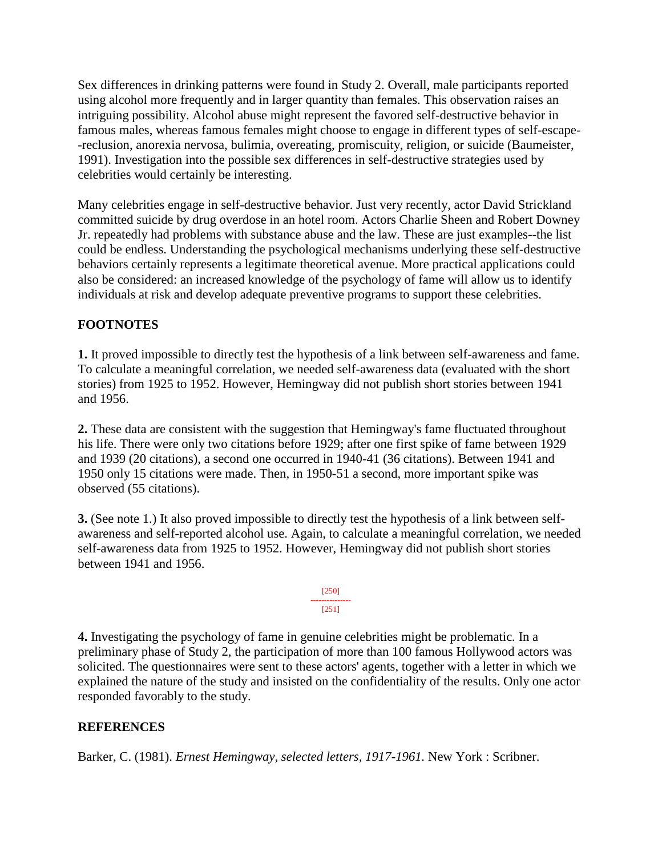Sex differences in drinking patterns were found in Study 2. Overall, male participants reported using alcohol more frequently and in larger quantity than females. This observation raises an intriguing possibility. Alcohol abuse might represent the favored self-destructive behavior in famous males, whereas famous females might choose to engage in different types of self-escape- -reclusion, anorexia nervosa, bulimia, overeating, promiscuity, religion, or suicide (Baumeister, 1991). Investigation into the possible sex differences in self-destructive strategies used by celebrities would certainly be interesting.

Many celebrities engage in self-destructive behavior. Just very recently, actor David Strickland committed suicide by drug overdose in an hotel room. Actors Charlie Sheen and Robert Downey Jr. repeatedly had problems with substance abuse and the law. These are just examples--the list could be endless. Understanding the psychological mechanisms underlying these self-destructive behaviors certainly represents a legitimate theoretical avenue. More practical applications could also be considered: an increased knowledge of the psychology of fame will allow us to identify individuals at risk and develop adequate preventive programs to support these celebrities.

## **FOOTNOTES**

**1.** It proved impossible to directly test the hypothesis of a link between self-awareness and fame. To calculate a meaningful correlation, we needed self-awareness data (evaluated with the short stories) from 1925 to 1952. However, Hemingway did not publish short stories between 1941 and 1956.

**2.** These data are consistent with the suggestion that Hemingway's fame fluctuated throughout his life. There were only two citations before 1929; after one first spike of fame between 1929 and 1939 (20 citations), a second one occurred in 1940-41 (36 citations). Between 1941 and 1950 only 15 citations were made. Then, in 1950-51 a second, more important spike was observed (55 citations).

**3.** (See note 1.) It also proved impossible to directly test the hypothesis of a link between selfawareness and self-reported alcohol use. Again, to calculate a meaningful correlation, we needed self-awareness data from 1925 to 1952. However, Hemingway did not publish short stories between 1941 and 1956.



**4.** Investigating the psychology of fame in genuine celebrities might be problematic. In a preliminary phase of Study 2, the participation of more than 100 famous Hollywood actors was solicited. The questionnaires were sent to these actors' agents, together with a letter in which we explained the nature of the study and insisted on the confidentiality of the results. Only one actor responded favorably to the study.

## **REFERENCES**

Barker, C. (1981). *Ernest Hemingway, selected letters, 1917-1961.* New York : Scribner.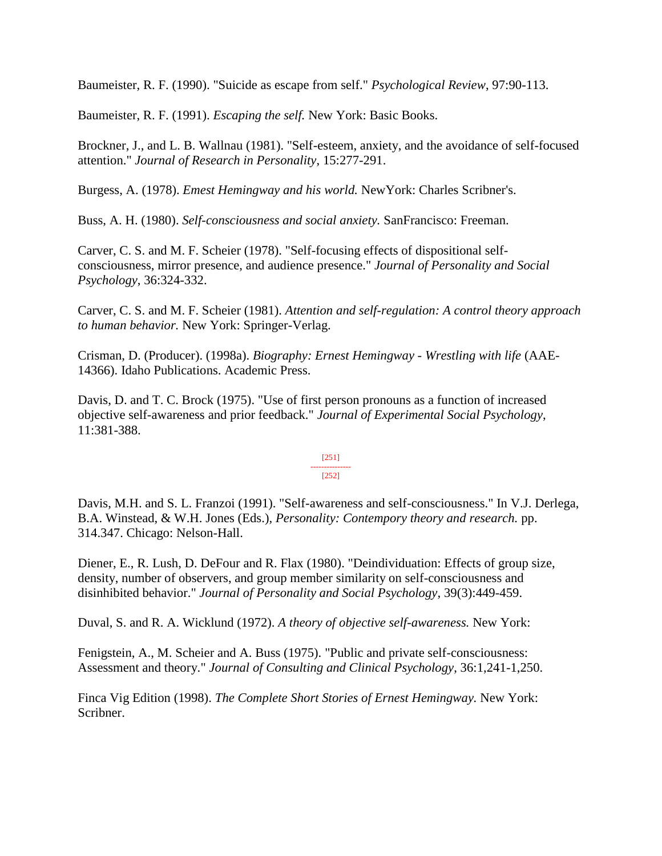Baumeister, R. F. (1990). "Suicide as escape from self." *Psychological Review*, 97:90-113.

Baumeister, R. F. (1991). *Escaping the self.* New York: Basic Books.

Brockner, J., and L. B. Wallnau (1981). "Self-esteem, anxiety, and the avoidance of self-focused attention." *Journal of Research in Personality*, 15:277-291.

Burgess, A. (1978). *Emest Hemingway and his world.* NewYork: Charles Scribner's.

Buss, A. H. (1980). *Self-consciousness and social anxiety.* SanFrancisco: Freeman.

Carver, C. S. and M. F. Scheier (1978). "Self-focusing effects of dispositional selfconsciousness, mirror presence, and audience presence." *Journal of Personality and Social Psychology*, 36:324-332.

Carver, C. S. and M. F. Scheier (1981). *Attention and self-regulation: A control theory approach to human behavior.* New York: Springer-Verlag.

Crisman, D. (Producer). (1998a). *Biography: Ernest Hemingway - Wrestling with life* (AAE-14366). Idaho Publications. Academic Press.

Davis, D. and T. C. Brock (1975). "Use of first person pronouns as a function of increased objective self-awareness and prior feedback." *Journal of Experimental Social Psychology*, 11:381-388.

#### [251] --------------- [252]

Davis, M.H. and S. L. Franzoi (1991). "Self-awareness and self-consciousness." In V.J. Derlega, B.A. Winstead, & W.H. Jones (Eds.), *Personality: Contempory theory and research.* pp. 314.347. Chicago: Nelson-Hall.

Diener, E., R. Lush, D. DeFour and R. Flax (1980). "Deindividuation: Effects of group size, density, number of observers, and group member similarity on self-consciousness and disinhibited behavior." *Journal of Personality and Social Psychology,* 39(3):449-459.

Duval, S. and R. A. Wicklund (1972). *A theory of objective self-awareness.* New York:

Fenigstein, A., M. Scheier and A. Buss (1975). "Public and private self-consciousness: Assessment and theory." *Journal of Consulting and Clinical Psychology*, 36:1,241-1,250.

Finca Vig Edition (1998). *The Complete Short Stories of Ernest Hemingway.* New York: Scribner.